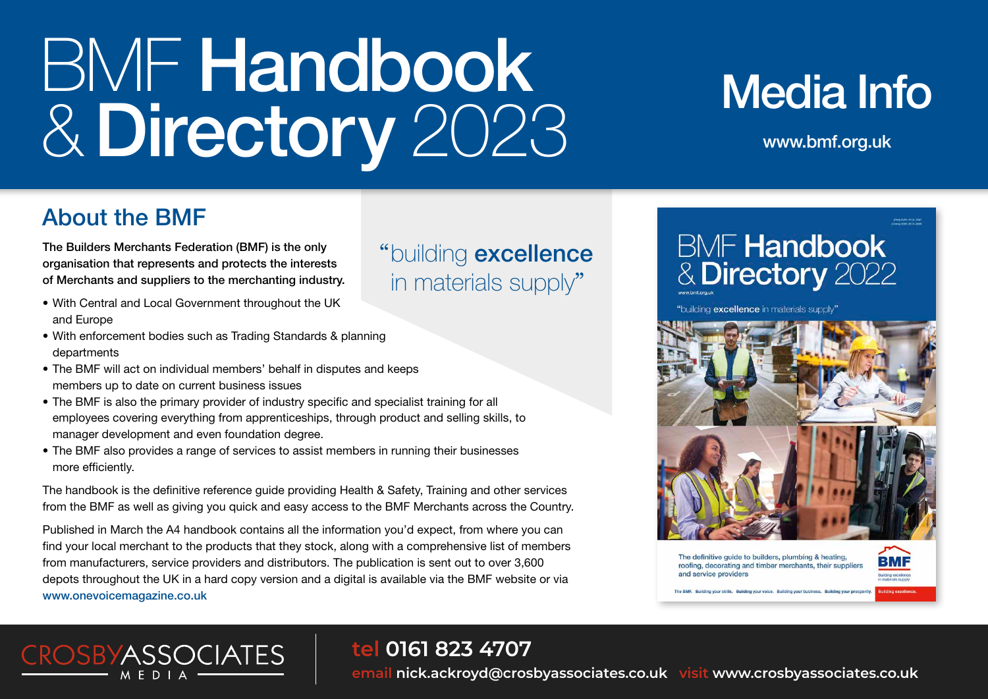# BMF Handbook &Directory 2023

# **Media Info**

www.bmf.org.uk

### About the BMF

The Builders Merchants Federation (BMF) is the only organisation that represents and protects the interests of Merchants and suppliers to the merchanting industry.

• With Central and Local Government throughout the UK and Europe

**CROSBYASSOCIATES** 

- With enforcement bodies such as Trading Standards & planning departments
- The BMF will act on individual members' behalf in disputes and keeps members up to date on current business issues
- The BMF is also the primary provider of industry specific and specialist training for all employees covering everything from apprenticeships, through product and selling skills, to manager development and even foundation degree.
- The BMF also provides a range of services to assist members in running their businesses more efficiently.

The handbook is the definitive reference guide providing Health & Safety, Training and other services from the BMF as well as giving you quick and easy access to the BMF Merchants across the Country.

Published in March the A4 handbook contains all the information you'd expect, from where you can find your local merchant to the products that they stock, along with a comprehensive list of members from manufacturers, service providers and distributors. The publication is sent out to over 3,600 depots throughout the UK in a hard copy version and a digital is available via the BMF website or via www.onevoicemagazine.co.uk

### **tel 0161 823 4707**

"building excellence

in materials supply"

**email nick.ackroyd@crosbyassociates.co.uk visit www.crosbyassociates.co.uk**

## **BMF Handbook & Directory 2022**





The definitive guide to builders, plumbing & heating, roofing, decorating and timber merchants, their suppliers and service providers

ilding your skills. Building your voice. Building your business. Building your pri